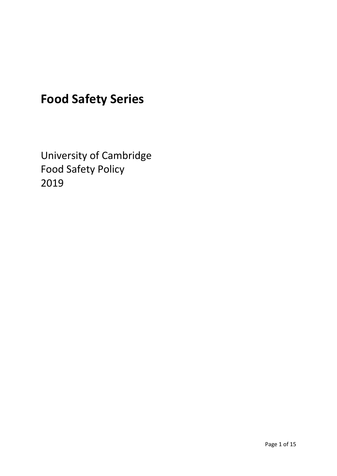# **Food Safety Series**

University of Cambridge Food Safety Policy 2019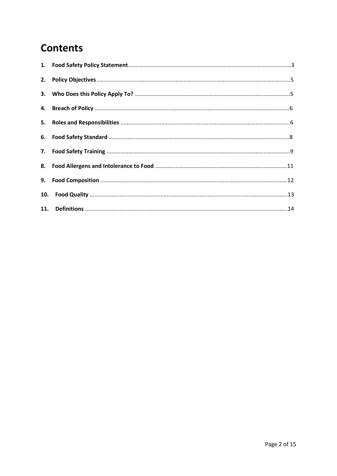## **Contents**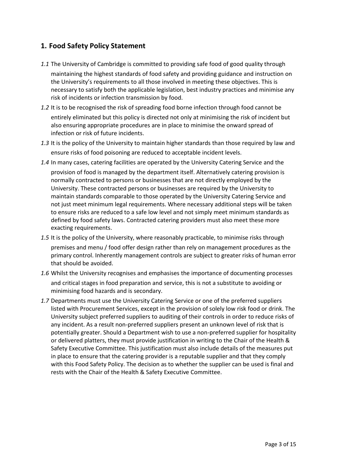## **1. Food Safety Policy Statement**

- *1.1* The University of Cambridge is committed to providing safe food of good quality through maintaining the highest standards of food safety and providing guidance and instruction on the University's requirements to all those involved in meeting these objectives. This is necessary to satisfy both the applicable legislation, best industry practices and minimise any risk of incidents or infection transmission by food.
- *1.2* It is to be recognised the risk of spreading food borne infection through food cannot be entirely eliminated but this policy is directed not only at minimising the risk of incident but also ensuring appropriate procedures are in place to minimise the onward spread of infection or risk of future incidents.
- *1.3* It is the policy of the University to maintain higher standards than those required by law and ensure risks of food poisoning are reduced to acceptable incident levels.
- *1.4* In many cases, catering facilities are operated by the University Catering Service and the

provision of food is managed by the department itself. Alternatively catering provision is normally contracted to persons or businesses that are not directly employed by the University. These contracted persons or businesses are required by the University to maintain standards comparable to those operated by the University Catering Service and not just meet minimum legal requirements. Where necessary additional steps will be taken to ensure risks are reduced to a safe low level and not simply meet minimum standards as defined by food safety laws. Contracted catering providers must also meet these more exacting requirements.

- *1.5* It is the policy of the University, where reasonably practicable, to minimise risks through premises and menu / food offer design rather than rely on management procedures as the primary control. Inherently management controls are subject to greater risks of human error that should be avoided.
- *1.6* Whilst the University recognises and emphasises the importance of documenting processes

and critical stages in food preparation and service, this is not a substitute to avoiding or minimising food hazards and is secondary.

*1.7* Departments must use the University Catering Service or one of the preferred suppliers listed with Procurement Services, except in the provision of solely low risk food or drink. The University subject preferred suppliers to auditing of their controls in order to reduce risks of any incident. As a result non-preferred suppliers present an unknown level of risk that is potentially greater. Should a Department wish to use a non-preferred supplier for hospitality or delivered platters, they must provide justification in writing to the Chair of the Health & Safety Executive Committee. This justification must also include details of the measures put in place to ensure that the catering provider is a reputable supplier and that they comply with this Food Safety Policy. The decision as to whether the supplier can be used is final and rests with the Chair of the Health & Safety Executive Committee.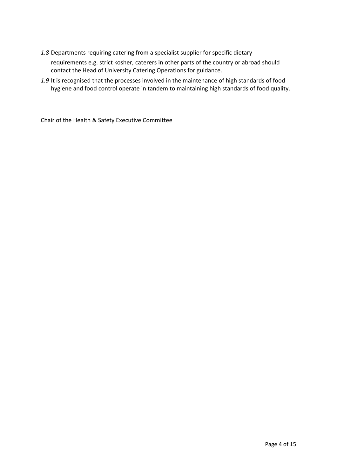*1.8* Departments requiring catering from a specialist supplier for specific dietary

requirements e.g. strict kosher, caterers in other parts of the country or abroad should contact the Head of University Catering Operations for guidance.

*1.9* It is recognised that the processes involved in the maintenance of high standards of food hygiene and food control operate in tandem to maintaining high standards of food quality.

Chair of the Health & Safety Executive Committee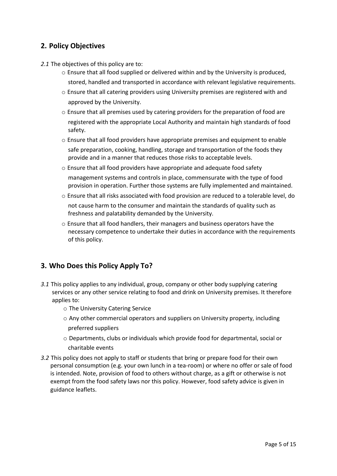### **2. Policy Objectives**

- *2.1* The objectives of this policy are to:
	- $\circ$  Ensure that all food supplied or delivered within and by the University is produced. stored, handled and transported in accordance with relevant legislative requirements.
	- $\circ$  Ensure that all catering providers using University premises are registered with and approved by the University.
	- $\circ$  Ensure that all premises used by catering providers for the preparation of food are registered with the appropriate Local Authority and maintain high standards of food safety.
	- o Ensure that all food providers have appropriate premises and equipment to enable safe preparation, cooking, handling, storage and transportation of the foods they provide and in a manner that reduces those risks to acceptable levels.
	- o Ensure that all food providers have appropriate and adequate food safety management systems and controls in place, commensurate with the type of food provision in operation. Further those systems are fully implemented and maintained.
	- o Ensure that all risks associated with food provision are reduced to a tolerable level, do not cause harm to the consumer and maintain the standards of quality such as freshness and palatability demanded by the University.
	- $\circ$  Ensure that all food handlers, their managers and business operators have the necessary competence to undertake their duties in accordance with the requirements of this policy.

#### **3. Who Does this Policy Apply To?**

- *3.1* This policy applies to any individual, group, company or other body supplying catering services or any other service relating to food and drink on University premises. It therefore applies to:
	- o The University Catering Service
	- $\circ$  Any other commercial operators and suppliers on University property, including preferred suppliers
	- o Departments, clubs or individuals which provide food for departmental, social or charitable events
- *3.2* This policy does not apply to staff or students that bring or prepare food for their own personal consumption (e.g. your own lunch in a tea-room) or where no offer or sale of food is intended. Note, provision of food to others without charge, as a gift or otherwise is not exempt from the food safety laws nor this policy. However, food safety advice is given in guidance leaflets.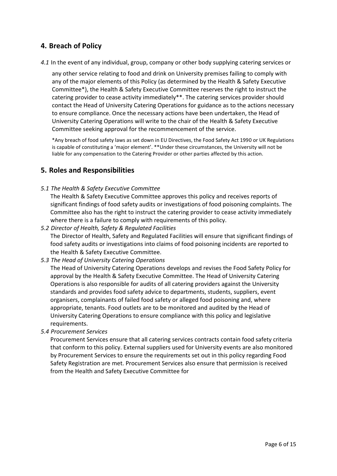#### **4. Breach of Policy**

*4.1* In the event of any individual, group, company or other body supplying catering services or

any other service relating to food and drink on University premises failing to comply with any of the major elements of this Policy (as determined by the Health & Safety Executive Committee\*), the Health & Safety Executive Committee reserves the right to instruct the catering provider to cease activity immediately\*\*. The catering services provider should contact the Head of University Catering Operations for guidance as to the actions necessary to ensure compliance. Once the necessary actions have been undertaken, the Head of University Catering Operations will write to the chair of the Health & Safety Executive Committee seeking approval for the recommencement of the service.

\*Any breach of food safety laws as set down in EU Directives, the Food Safety Act 1990 or UK Regulations is capable of constituting a 'major element'. \*\*Under these circumstances, the University will not be liable for any compensation to the Catering Provider or other parties affected by this action.

#### **5. Roles and Responsibilities**

*5.1 The Health & Safety Executive Committee* 

The Health & Safety Executive Committee approves this policy and receives reports of significant findings of food safety audits or investigations of food poisoning complaints. The Committee also has the right to instruct the catering provider to cease activity immediately where there is a failure to comply with requirements of this policy.

*5.2 Director of Health, Safety & Regulated Facilities* 

The Director of Health, Safety and Regulated Facilities will ensure that significant findings of food safety audits or investigations into claims of food poisoning incidents are reported to the Health & Safety Executive Committee.

*5.3 The Head of University Catering Operations* 

The Head of University Catering Operations develops and revises the Food Safety Policy for approval by the Health & Safety Executive Committee. The Head of University Catering Operations is also responsible for audits of all catering providers against the University standards and provides food safety advice to departments, students, suppliers, event organisers, complainants of failed food safety or alleged food poisoning and, where appropriate, tenants. Food outlets are to be monitored and audited by the Head of University Catering Operations to ensure compliance with this policy and legislative requirements.

*5.4 Procurement Services* 

Procurement Services ensure that all catering services contracts contain food safety criteria that conform to this policy. External suppliers used for University events are also monitored by Procurement Services to ensure the requirements set out in this policy regarding Food Safety Registration are met. Procurement Services also ensure that permission is received from the Health and Safety Executive Committee for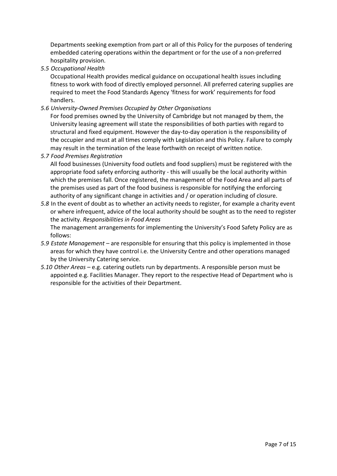Departments seeking exemption from part or all of this Policy for the purposes of tendering embedded catering operations within the department or for the use of a non-preferred hospitality provision.

*5.5 Occupational Health* 

Occupational Health provides medical guidance on occupational health issues including fitness to work with food of directly employed personnel. All preferred catering supplies are required to meet the Food Standards Agency 'fitness for work' requirements for food handlers.

*5.6 University-Owned Premises Occupied by Other Organisations* 

For food premises owned by the University of Cambridge but not managed by them, the University leasing agreement will state the responsibilities of both parties with regard to structural and fixed equipment. However the day-to-day operation is the responsibility of the occupier and must at all times comply with Legislation and this Policy. Failure to comply may result in the termination of the lease forthwith on receipt of written notice.

*5.7 Food Premises Registration* 

All food businesses (University food outlets and food suppliers) must be registered with the appropriate food safety enforcing authority - this will usually be the local authority within which the premises fall. Once registered, the management of the Food Area and all parts of the premises used as part of the food business is responsible for notifying the enforcing authority of any significant change in activities and / or operation including of closure.

*5.8* In the event of doubt as to whether an activity needs to register, for example a charity event or where infrequent, advice of the local authority should be sought as to the need to register the activity. *Responsibilities in Food Areas* 

The management arrangements for implementing the University's Food Safety Policy are as follows:

- *5.9 Estate Management* are responsible for ensuring that this policy is implemented in those areas for which they have control i.e. the University Centre and other operations managed by the University Catering service.
- *5.10 Other Areas* e.g. catering outlets run by departments. A responsible person must be appointed e.g. Facilities Manager. They report to the respective Head of Department who is responsible for the activities of their Department.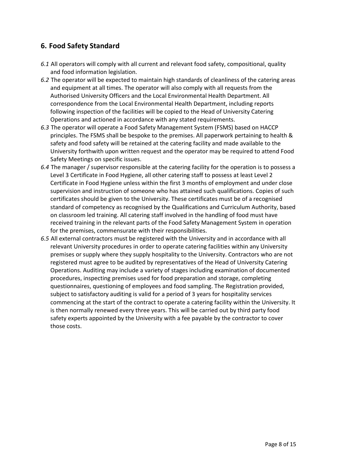## **6. Food Safety Standard**

- *6.1* All operators will comply with all current and relevant food safety, compositional, quality and food information legislation.
- *6.2* The operator will be expected to maintain high standards of cleanliness of the catering areas and equipment at all times. The operator will also comply with all requests from the Authorised University Officers and the Local Environmental Health Department. All correspondence from the Local Environmental Health Department, including reports following inspection of the facilities will be copied to the Head of University Catering Operations and actioned in accordance with any stated requirements.
- *6.3* The operator will operate a Food Safety Management System (FSMS) based on HACCP principles. The FSMS shall be bespoke to the premises. All paperwork pertaining to health & safety and food safety will be retained at the catering facility and made available to the University forthwith upon written request and the operator may be required to attend Food Safety Meetings on specific issues.
- *6.4* The manager / supervisor responsible at the catering facility for the operation is to possess a Level 3 Certificate in Food Hygiene, all other catering staff to possess at least Level 2 Certificate in Food Hygiene unless within the first 3 months of employment and under close supervision and instruction of someone who has attained such qualifications. Copies of such certificates should be given to the University. These certificates must be of a recognised standard of competency as recognised by the Qualifications and Curriculum Authority, based on classroom led training. All catering staff involved in the handling of food must have received training in the relevant parts of the Food Safety Management System in operation for the premises, commensurate with their responsibilities.
- *6.5* All external contractors must be registered with the University and in accordance with all relevant University procedures in order to operate catering facilities within any University premises or supply where they supply hospitality to the University. Contractors who are not registered must agree to be audited by representatives of the Head of University Catering Operations. Auditing may include a variety of stages including examination of documented procedures, inspecting premises used for food preparation and storage, completing questionnaires, questioning of employees and food sampling. The Registration provided, subject to satisfactory auditing is valid for a period of 3 years for hospitality services commencing at the start of the contract to operate a catering facility within the University. It is then normally renewed every three years. This will be carried out by third party food safety experts appointed by the University with a fee payable by the contractor to cover those costs.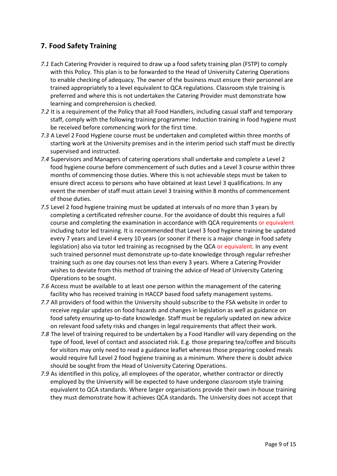## **7. Food Safety Training**

- *7.1* Each Catering Provider is required to draw up a food safety training plan (FSTP) to comply with this Policy. This plan is to be forwarded to the Head of University Catering Operations to enable checking of adequacy. The owner of the business must ensure their personnel are trained appropriately to a level equivalent to QCA regulations. Classroom style training is preferred and where this is not undertaken the Catering Provider must demonstrate how learning and comprehension is checked.
- *7.2* It is a requirement of the Policy that all Food Handlers, including casual staff and temporary staff, comply with the following training programme: Induction training in food hygiene must be received before commencing work for the first time.
- *7.3* A Level 2 Food Hygiene course must be undertaken and completed within three months of starting work at the University premises and in the interim period such staff must be directly supervised and instructed.
- *7.4* Supervisors and Managers of catering operations shall undertake and complete a Level 2 food hygiene course before commencement of such duties and a Level 3 course within three months of commencing those duties. Where this is not achievable steps must be taken to ensure direct access to persons who have obtained at least Level 3 qualifications. In any event the member of staff must attain Level 3 training within 8 months of commencement of those duties.
- *7.5* Level 2 food hygiene training must be updated at intervals of no more than 3 years by completing a certificated refresher course. For the avoidance of doubt this requires a full course and completing the examination in accordance with QCA requirements or equivalent including tutor led training. It is recommended that Level 3 food hygiene training be updated every 7 years and Level 4 every 10 years (or sooner if there is a major change in food safety legislation) also via tutor led training as recognised by the QCA or equivalent. In any event such trained personnel must demonstrate up-to-date knowledge through regular refresher training such as one day courses not less than every 3 years. Where a Catering Provider wishes to deviate from this method of training the advice of Head of University Catering Operations to be sought.
- *7.6* Access must be available to at least one person within the management of the catering facility who has received training in HACCP based food safety management systems.
- *7.7* All providers of food within the University should subscribe to the FSA website in order to receive regular updates on food hazards and changes in legislation as well as guidance on food safety ensuring up-to-date knowledge. Staff must be regularly updated on new advice on relevant food safety risks and changes in legal requirements that affect their work.
- *7.8* The level of training required to be undertaken by a Food Handler will vary depending on the type of food, level of contact and associated risk. E.g. those preparing tea/coffee and biscuits for visitors may only need to read a guidance leaflet whereas those preparing cooked meals would require full Level 2 food hygiene training as a minimum. Where there is doubt advice should be sought from the Head of University Catering Operations.
- *7.9* As identified in this policy, all employees of the operator, whether contractor or directly employed by the University will be expected to have undergone classroom style training equivalent to QCA standards. Where larger organisations provide their own in-house training they must demonstrate how it achieves QCA standards. The University does not accept that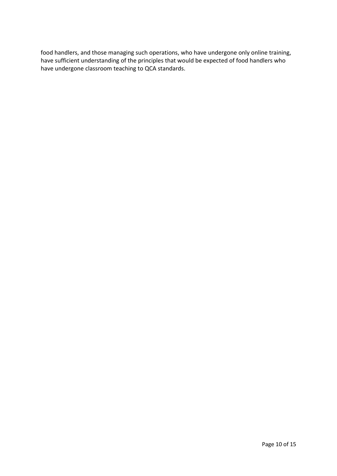food handlers, and those managing such operations, who have undergone only online training, have sufficient understanding of the principles that would be expected of food handlers who have undergone classroom teaching to QCA standards.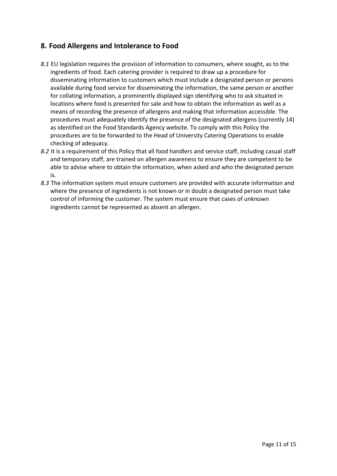### **8. Food Allergens and Intolerance to Food**

- *8.1* EU legislation requires the provision of information to consumers, where sought, as to the ingredients of food. Each catering provider is required to draw up a procedure for disseminating information to customers which must include a designated person or persons available during food service for disseminating the information, the same person or another for collating information, a prominently displayed sign identifying who to ask situated in locations where food is presented for sale and how to obtain the information as well as a means of recording the presence of allergens and making that information accessible. The procedures must adequately identify the presence of the designated allergens (currently 14) as identified on the Food Standards Agency website. To comply with this Policy the procedures are to be forwarded to the Head of University Catering Operations to enable checking of adequacy.
- *8.2* It is a requirement of this Policy that all food handlers and service staff, including casual staff and temporary staff, are trained on allergen awareness to ensure they are competent to be able to advise where to obtain the information, when asked and who the designated person is.
- *8.3* The information system must ensure customers are provided with accurate information and where the presence of ingredients is not known or in doubt a designated person must take control of informing the customer. The system must ensure that cases of unknown ingredients cannot be represented as absent an allergen.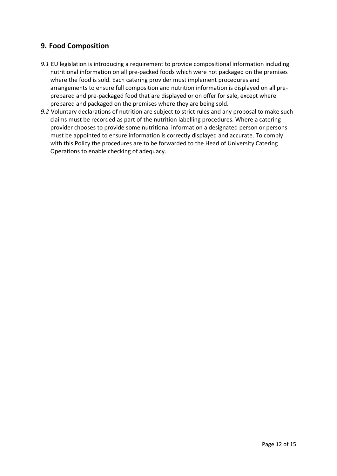## **9. Food Composition**

- *9.1* EU legislation is introducing a requirement to provide compositional information including nutritional information on all pre-packed foods which were not packaged on the premises where the food is sold. Each catering provider must implement procedures and arrangements to ensure full composition and nutrition information is displayed on all preprepared and pre-packaged food that are displayed or on offer for sale, except where prepared and packaged on the premises where they are being sold.
- *9.2* Voluntary declarations of nutrition are subject to strict rules and any proposal to make such claims must be recorded as part of the nutrition labelling procedures. Where a catering provider chooses to provide some nutritional information a designated person or persons must be appointed to ensure information is correctly displayed and accurate. To comply with this Policy the procedures are to be forwarded to the Head of University Catering Operations to enable checking of adequacy.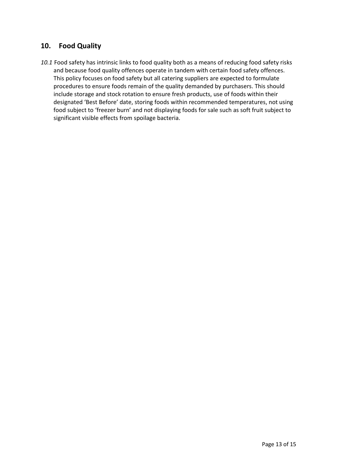#### **10. Food Quality**

*10.1* Food safety has intrinsic links to food quality both as a means of reducing food safety risks and because food quality offences operate in tandem with certain food safety offences. This policy focuses on food safety but all catering suppliers are expected to formulate procedures to ensure foods remain of the quality demanded by purchasers. This should include storage and stock rotation to ensure fresh products, use of foods within their designated 'Best Before' date, storing foods within recommended temperatures, not using food subject to 'freezer burn' and not displaying foods for sale such as soft fruit subject to significant visible effects from spoilage bacteria.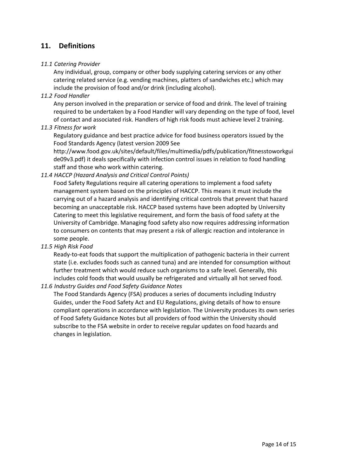#### **11. Definitions**

#### *11.1 Catering Provider*

Any individual, group, company or other body supplying catering services or any other catering related service (e.g. vending machines, platters of sandwiches etc.) which may include the provision of food and/or drink (including alcohol).

*11.2 Food Handler* 

Any person involved in the preparation or service of food and drink. The level of training required to be undertaken by a Food Handler will vary depending on the type of food, level of contact and associated risk. Handlers of high risk foods must achieve level 2 training.

*11.3 Fitness for work*

Regulatory guidance and best practice advice for food business operators issued by the Food Standards Agency (latest version 2009 See

http://www.food.gov.uk/sites/default/files/multimedia/pdfs/publication/fitnesstoworkgui de09v3.pdf) it deals specifically with infection control issues in relation to food handling staff and those who work within catering.

*11.4 HACCP (Hazard Analysis and Critical Control Points)*

Food Safety Regulations require all catering operations to implement a food safety management system based on the principles of HACCP. This means it must include the carrying out of a hazard analysis and identifying critical controls that prevent that hazard becoming an unacceptable risk. HACCP based systems have been adopted by University Catering to meet this legislative requirement, and form the basis of food safety at the University of Cambridge. Managing food safety also now requires addressing information to consumers on contents that may present a risk of allergic reaction and intolerance in some people.

*11.5 High Risk Food*

Ready-to-eat foods that support the multiplication of pathogenic bacteria in their current state (i.e. excludes foods such as canned tuna) and are intended for consumption without further treatment which would reduce such organisms to a safe level. Generally, this includes cold foods that would usually be refrigerated and virtually all hot served food.

*11.6 Industry Guides and Food Safety Guidance Notes*

The Food Standards Agency (FSA) produces a series of documents including Industry Guides, under the Food Safety Act and EU Regulations, giving details of how to ensure compliant operations in accordance with legislation. The University produces its own series of Food Safety Guidance Notes but all providers of food within the University should subscribe to the FSA website in order to receive regular updates on food hazards and changes in legislation.